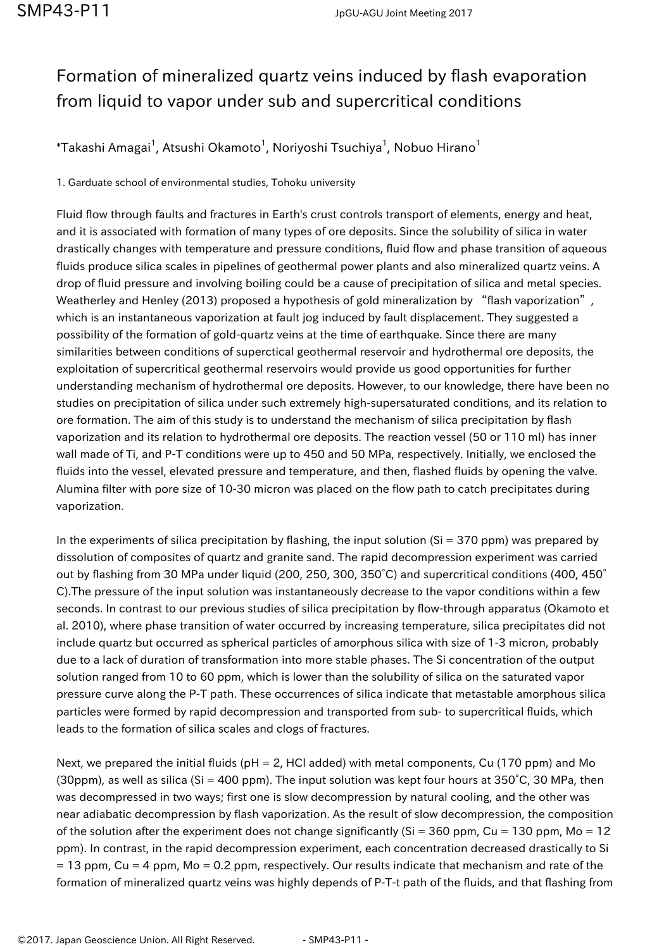## Formation of mineralized quartz veins induced by flash evaporation from liquid to vapor under sub and supercritical conditions

 $^\ast$ Takashi Amagai $^1$ , Atsushi Okamoto $^1$ , Noriyoshi Tsuchiya $^1$ , Nobuo Hirano $^1$ 

1. Garduate school of environmental studies, Tohoku university

Fluid flow through faults and fractures in Earth's crust controls transport of elements, energy and heat, and it is associated with formation of many types of ore deposits. Since the solubility of silica in water drastically changes with temperature and pressure conditions, fluid flow and phase transition of aqueous fluids produce silica scales in pipelines of geothermal power plants and also mineralized quartz veins. A drop of fluid pressure and involving boiling could be a cause of precipitation of silica and metal species. Weatherley and Henley (2013) proposed a hypothesis of gold mineralization by "flash vaporization", which is an instantaneous vaporization at fault jog induced by fault displacement. They suggested a possibility of the formation of gold-quartz veins at the time of earthquake. Since there are many similarities between conditions of superctical geothermal reservoir and hydrothermal ore deposits, the exploitation of supercritical geothermal reservoirs would provide us good opportunities for further understanding mechanism of hydrothermal ore deposits. However, to our knowledge, there have been no studies on precipitation of silica under such extremely high-supersaturated conditions, and its relation to ore formation. The aim of this study is to understand the mechanism of silica precipitation by flash vaporization and its relation to hydrothermal ore deposits. The reaction vessel (50 or 110 ml) has inner wall made of Ti, and P-T conditions were up to 450 and 50 MPa, respectively. Initially, we enclosed the fluids into the vessel, elevated pressure and temperature, and then, flashed fluids by opening the valve. Alumina filter with pore size of 10-30 micron was placed on the flow path to catch precipitates during vaporization.

In the experiments of silica precipitation by flashing, the input solution ( $Si = 370$  ppm) was prepared by dissolution of composites of quartz and granite sand. The rapid decompression experiment was carried out by flashing from 30 MPa under liquid (200, 250, 300, 350°C) and supercritical conditions (400, 450° C).The pressure of the input solution was instantaneously decrease to the vapor conditions within a few seconds. In contrast to our previous studies of silica precipitation by flow-through apparatus (Okamoto et al. 2010), where phase transition of water occurred by increasing temperature, silica precipitates did not include quartz but occurred as spherical particles of amorphous silica with size of 1-3 micron, probably due to a lack of duration of transformation into more stable phases. The Si concentration of the output solution ranged from 10 to 60 ppm, which is lower than the solubility of silica on the saturated vapor pressure curve along the P-T path. These occurrences of silica indicate that metastable amorphous silica particles were formed by rapid decompression and transported from sub- to supercritical fluids, which leads to the formation of silica scales and clogs of fractures.

Next, we prepared the initial fluids (pH = 2, HCl added) with metal components, Cu (170 ppm) and Mo (30ppm), as well as silica (Si = 400 ppm). The input solution was kept four hours at 350°C, 30 MPa, then was decompressed in two ways; first one is slow decompression by natural cooling, and the other was near adiabatic decompression by flash vaporization. As the result of slow decompression, the composition of the solution after the experiment does not change significantly ( $Si = 360$  ppm,  $Cu = 130$  ppm,  $Mo = 12$ ppm). In contrast, in the rapid decompression experiment, each concentration decreased drastically to Si  $= 13$  ppm, Cu = 4 ppm, Mo = 0.2 ppm, respectively. Our results indicate that mechanism and rate of the formation of mineralized quartz veins was highly depends of P-T-t path of the fluids, and that flashing from